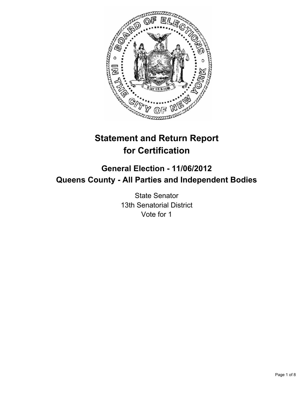

# **Statement and Return Report for Certification**

## **General Election - 11/06/2012 Queens County - All Parties and Independent Bodies**

State Senator 13th Senatorial District Vote for 1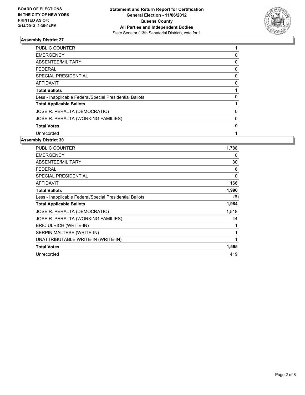

| <b>PUBLIC COUNTER</b>                                    |             |
|----------------------------------------------------------|-------------|
| <b>EMERGENCY</b>                                         | 0           |
| ABSENTEE/MILITARY                                        | $\mathbf 0$ |
| <b>FEDERAL</b>                                           | 0           |
| SPECIAL PRESIDENTIAL                                     | 0           |
| <b>AFFIDAVIT</b>                                         | 0           |
| <b>Total Ballots</b>                                     |             |
| Less - Inapplicable Federal/Special Presidential Ballots | $\Omega$    |
| <b>Total Applicable Ballots</b>                          |             |
| JOSE R. PERALTA (DEMOCRATIC)                             | 0           |
| JOSE R. PERALTA (WORKING FAMILIES)                       | 0           |
| <b>Total Votes</b>                                       | 0           |
| Unrecorded                                               |             |

| <b>PUBLIC COUNTER</b>                                    | 1,788 |
|----------------------------------------------------------|-------|
| <b>EMERGENCY</b>                                         | 0     |
| ABSENTEE/MILITARY                                        | 30    |
| <b>FEDERAL</b>                                           | 6     |
| <b>SPECIAL PRESIDENTIAL</b>                              | 0     |
| <b>AFFIDAVIT</b>                                         | 166   |
| <b>Total Ballots</b>                                     | 1,990 |
| Less - Inapplicable Federal/Special Presidential Ballots | (6)   |
| <b>Total Applicable Ballots</b>                          | 1,984 |
| JOSE R. PERALTA (DEMOCRATIC)                             | 1,518 |
| JOSE R. PERALTA (WORKING FAMILIES)                       | 44    |
| ERIC ULRICH (WRITE-IN)                                   |       |
| SERPIN MALTESE (WRITE-IN)                                | 1     |
| UNATTRIBUTABLE WRITE-IN (WRITE-IN)                       | 1     |
| <b>Total Votes</b>                                       | 1,565 |
| Unrecorded                                               | 419   |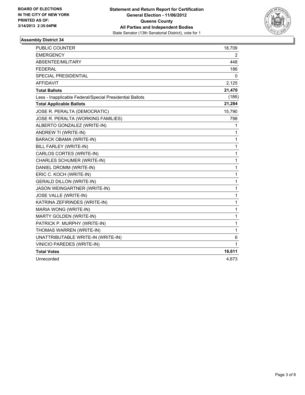

| PUBLIC COUNTER                                           | 18,709       |
|----------------------------------------------------------|--------------|
| <b>EMERGENCY</b>                                         | 2            |
| ABSENTEE/MILITARY                                        | 448          |
| <b>FEDERAL</b>                                           | 186          |
| SPECIAL PRESIDENTIAL                                     | 0            |
| <b>AFFIDAVIT</b>                                         | 2,125        |
| <b>Total Ballots</b>                                     | 21,470       |
| Less - Inapplicable Federal/Special Presidential Ballots | (186)        |
| <b>Total Applicable Ballots</b>                          | 21,284       |
| JOSE R. PERALTA (DEMOCRATIC)                             | 15,790       |
| JOSE R. PERALTA (WORKING FAMILIES)                       | 798          |
| ALBERTO GONZALEZ (WRITE-IN)                              | 1            |
| ANDREW TI (WRITE-IN)                                     | 1            |
| <b>BARACK OBAMA (WRITE-IN)</b>                           | 1            |
| <b>BILL FARLEY (WRITE-IN)</b>                            | 1            |
| CARLOS CORTES (WRITE-IN)                                 | 1            |
| CHARLES SCHUMER (WRITE-IN)                               | 1            |
| DANIEL DROMM (WRITE-IN)                                  | 1            |
| ERIC C. KOCH (WRITE-IN)                                  | 1            |
| <b>GERALD DILLON (WRITE-IN)</b>                          | 1            |
| JASON WEINGARTNER (WRITE-IN)                             | 1            |
| <b>JOSE VALLE (WRITE-IN)</b>                             | 1            |
| KATRINA ZEFIRINDES (WRITE-IN)                            | 1            |
| MARIA WONG (WRITE-IN)                                    | 1            |
| MARTY GOLDEN (WRITE-IN)                                  | 1            |
| PATRICK P. MURPHY (WRITE-IN)                             | 1            |
| THOMAS WARREN (WRITE-IN)                                 | $\mathbf{1}$ |
| UNATTRIBUTABLE WRITE-IN (WRITE-IN)                       | 6            |
| VINICIO PAREDES (WRITE-IN)                               | 1            |
| <b>Total Votes</b>                                       | 16,611       |
| Unrecorded                                               | 4,673        |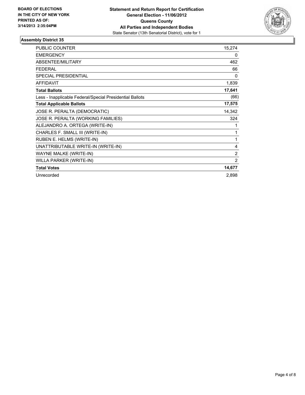

| <b>PUBLIC COUNTER</b>                                    | 15,274         |
|----------------------------------------------------------|----------------|
| <b>EMERGENCY</b>                                         | 0              |
| <b>ABSENTEE/MILITARY</b>                                 | 462            |
| <b>FEDERAL</b>                                           | 66             |
| <b>SPECIAL PRESIDENTIAL</b>                              | 0              |
| <b>AFFIDAVIT</b>                                         | 1,839          |
| <b>Total Ballots</b>                                     | 17,641         |
| Less - Inapplicable Federal/Special Presidential Ballots | (66)           |
| <b>Total Applicable Ballots</b>                          | 17,575         |
| JOSE R. PERALTA (DEMOCRATIC)                             | 14,342         |
| JOSE R. PERALTA (WORKING FAMILIES)                       | 324            |
| ALEJANDRO A. ORTEGA (WRITE-IN)                           | 1              |
| CHARLES F. SMALL III (WRITE-IN)                          | 1              |
| RUBEN E. HELMS (WRITE-IN)                                | 1              |
| UNATTRIBUTABLE WRITE-IN (WRITE-IN)                       | 4              |
| WAYNE MALKE (WRITE-IN)                                   | $\overline{2}$ |
| WILLA PARKER (WRITE-IN)                                  | $\overline{2}$ |
| <b>Total Votes</b>                                       | 14,677         |
| Unrecorded                                               | 2,898          |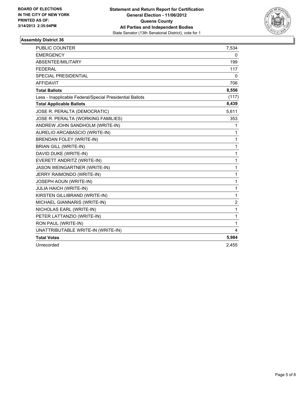

| <b>PUBLIC COUNTER</b>                                    | 7,534        |
|----------------------------------------------------------|--------------|
| <b>EMERGENCY</b>                                         | 0            |
| ABSENTEE/MILITARY                                        | 199          |
| <b>FEDERAL</b>                                           | 117          |
| <b>SPECIAL PRESIDENTIAL</b>                              | $\mathbf{0}$ |
| <b>AFFIDAVIT</b>                                         | 706          |
| <b>Total Ballots</b>                                     | 8,556        |
| Less - Inapplicable Federal/Special Presidential Ballots | (117)        |
| <b>Total Applicable Ballots</b>                          | 8,439        |
| JOSE R. PERALTA (DEMOCRATIC)                             | 5,611        |
| JOSE R. PERALTA (WORKING FAMILIES)                       | 353          |
| ANDREW JOHN SANDHOLM (WRITE-IN)                          | 1            |
| AURELIO ARCABASCIO (WRITE-IN)                            | 1            |
| <b>BRENDAN FOLEY (WRITE-IN)</b>                          | 1            |
| <b>BRIAN GILL (WRITE-IN)</b>                             | 1            |
| DAVID DUKE (WRITE-IN)                                    | 1            |
| EVERETT ANDRITZ (WRITE-IN)                               | 1            |
| JASON WEINGARTNER (WRITE-IN)                             | 1            |
| JERRY RAIMONDO (WRITE-IN)                                | 1            |
| JOSEPH AOUN (WRITE-IN)                                   | 1            |
| JULIA HAICH (WRITE-IN)                                   | 1            |
| KIRSTEN GILLIBRAND (WRITE-IN)                            | 1            |
| MICHAEL GIANNARIS (WRITE-IN)                             | 2            |
| NICHOLAS EARL (WRITE-IN)                                 | 1            |
| PETER LATTANZIO (WRITE-IN)                               | 1            |
| RON PAUL (WRITE-IN)                                      | 1            |
| UNATTRIBUTABLE WRITE-IN (WRITE-IN)                       | 4            |
| <b>Total Votes</b>                                       | 5,984        |
| Unrecorded                                               | 2,455        |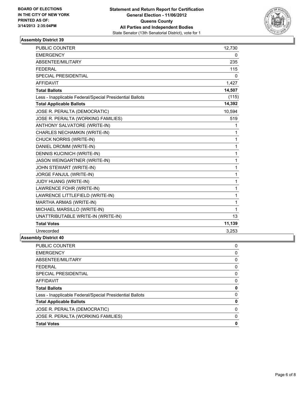

| <b>PUBLIC COUNTER</b>                                    | 12,730       |
|----------------------------------------------------------|--------------|
| <b>EMERGENCY</b>                                         | 0            |
| ABSENTEE/MILITARY                                        | 235          |
| <b>FEDERAL</b>                                           | 115          |
| <b>SPECIAL PRESIDENTIAL</b>                              | $\mathbf{0}$ |
| <b>AFFIDAVIT</b>                                         | 1,427        |
| <b>Total Ballots</b>                                     | 14,507       |
| Less - Inapplicable Federal/Special Presidential Ballots | (115)        |
| <b>Total Applicable Ballots</b>                          | 14,392       |
| JOSE R. PERALTA (DEMOCRATIC)                             | 10,594       |
| JOSE R. PERALTA (WORKING FAMILIES)                       | 519          |
| ANTHONY SALVATORE (WRITE-IN)                             | 1            |
| CHARLES NECHAMKIN (WRITE-IN)                             | 1            |
| CHUCK NORRIS (WRITE-IN)                                  | 1            |
| DANIEL DROMM (WRITE-IN)                                  | 1            |
| DENNIS KUCINICH (WRITE-IN)                               | 1            |
| JASON WEINGARTNER (WRITE-IN)                             | 1            |
| JOHN STEWART (WRITE-IN)                                  | 1            |
| JORGE FANJUL (WRITE-IN)                                  | 1            |
| <b>JUDY HUANG (WRITE-IN)</b>                             | 1            |
| LAWRENCE FOHR (WRITE-IN)                                 | 1            |
| LAWRENCE LITTLEFIELD (WRITE-IN)                          | 1            |
| MARTHA ARMAS (WRITE-IN)                                  | 1            |
| MICHAEL MARSILLO (WRITE-IN)                              | $\mathbf{1}$ |
| UNATTRIBUTABLE WRITE-IN (WRITE-IN)                       | 13           |
| <b>Total Votes</b>                                       | 11,139       |
| Unrecorded                                               | 3,253        |
| $-0.55 - 0.55 - 0.6$                                     |              |

| <b>PUBLIC COUNTER</b>                                    | 0 |
|----------------------------------------------------------|---|
| <b>EMERGENCY</b>                                         | 0 |
| ABSENTEE/MILITARY                                        | 0 |
| <b>FEDERAL</b>                                           | 0 |
| SPECIAL PRESIDENTIAL                                     | 0 |
| AFFIDAVIT                                                | 0 |
| <b>Total Ballots</b>                                     | 0 |
| Less - Inapplicable Federal/Special Presidential Ballots | 0 |
| <b>Total Applicable Ballots</b>                          | 0 |
| JOSE R. PERALTA (DEMOCRATIC)                             | 0 |
| JOSE R. PERALTA (WORKING FAMILIES)                       |   |
| <b>Total Votes</b>                                       | Ω |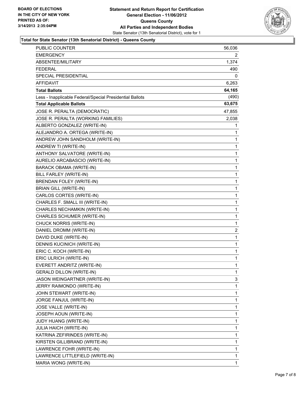

#### **Total for State Senator (13th Senatorial District) - Queens County**

| PUBLIC COUNTER                                           | 56,036       |
|----------------------------------------------------------|--------------|
| EMERGENCY                                                | 2            |
| ABSENTEE/MILITARY                                        | 1,374        |
| <b>FEDERAL</b>                                           | 490          |
| SPECIAL PRESIDENTIAL                                     | 0            |
| <b>AFFIDAVIT</b>                                         | 6,263        |
| <b>Total Ballots</b>                                     | 64,165       |
| Less - Inapplicable Federal/Special Presidential Ballots | (490)        |
| <b>Total Applicable Ballots</b>                          | 63,675       |
| JOSE R. PERALTA (DEMOCRATIC)                             | 47,855       |
| JOSE R. PERALTA (WORKING FAMILIES)                       | 2,038        |
| ALBERTO GONZALEZ (WRITE-IN)                              | 1            |
| ALEJANDRO A. ORTEGA (WRITE-IN)                           | 1            |
| ANDREW JOHN SANDHOLM (WRITE-IN)                          | 1            |
| ANDREW TI (WRITE-IN)                                     | 1            |
| ANTHONY SALVATORE (WRITE-IN)                             | 1            |
| AURELIO ARCABASCIO (WRITE-IN)                            | 1            |
| BARACK OBAMA (WRITE-IN)                                  | 1            |
| BILL FARLEY (WRITE-IN)                                   | 1            |
| BRENDAN FOLEY (WRITE-IN)                                 | 1            |
| BRIAN GILL (WRITE-IN)                                    | 1            |
| CARLOS CORTES (WRITE-IN)                                 | 1            |
| CHARLES F. SMALL III (WRITE-IN)                          | 1            |
| CHARLES NECHAMKIN (WRITE-IN)                             | 1            |
| CHARLES SCHUMER (WRITE-IN)                               | 1            |
| CHUCK NORRIS (WRITE-IN)                                  | 1            |
| DANIEL DROMM (WRITE-IN)                                  | 2            |
| DAVID DUKE (WRITE-IN)                                    | 1            |
| DENNIS KUCINICH (WRITE-IN)                               | 1            |
| ERIC C. KOCH (WRITE-IN)                                  | 1            |
| ERIC ULRICH (WRITE-IN)                                   | $\mathbf{1}$ |
| EVERETT ANDRITZ (WRITE-IN)                               | 1            |
| <b>GERALD DILLON (WRITE-IN)</b>                          | 1            |
| JASON WEINGARTNER (WRITE-IN)                             | 3            |
| JERRY RAIMONDO (WRITE-IN)                                | 1            |
| JOHN STEWART (WRITE-IN)                                  | 1            |
| JORGE FANJUL (WRITE-IN)                                  | 1            |
| JOSE VALLE (WRITE-IN)                                    | 1            |
| JOSEPH AOUN (WRITE-IN)                                   | 1            |
| <b>JUDY HUANG (WRITE-IN)</b>                             | 1            |
| <b>JULIA HAICH (WRITE-IN)</b>                            | 1            |
| KATRINA ZEFIRINDES (WRITE-IN)                            | 1            |
| KIRSTEN GILLIBRAND (WRITE-IN)                            | 1            |
| LAWRENCE FOHR (WRITE-IN)                                 | 1            |
| LAWRENCE LITTLEFIELD (WRITE-IN)                          | 1            |
| MARIA WONG (WRITE-IN)                                    | 1            |